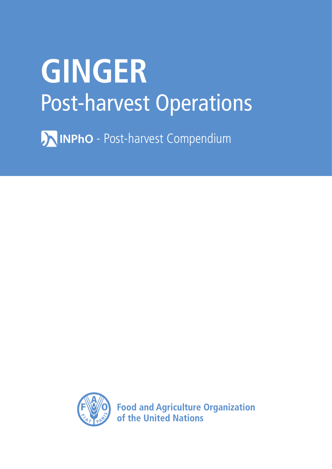# **GINGER** Post-harvest Operations

**AINPhO** - Post-harvest Compendium



**Food and Agriculture Organization** of the United Nations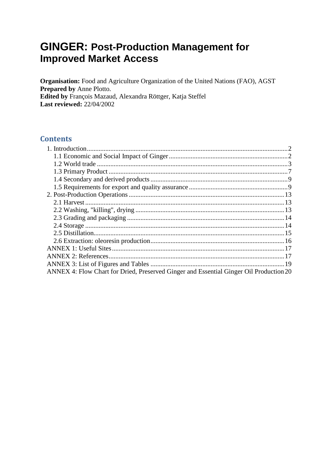# **GINGER: Post-Production Management for Improved Market Access**

Organisation: Food and Agriculture Organization of the United Nations (FAO), AGST Prepared by Anne Plotto. Edited by François Mazaud, Alexandra Röttger, Katja Steffel **Last reviewed: 22/04/2002** 

## **Contents**

<span id="page-1-0"></span>

| ANNEX 4: Flow Chart for Dried, Preserved Ginger and Essential Ginger Oil Production 20 |  |
|----------------------------------------------------------------------------------------|--|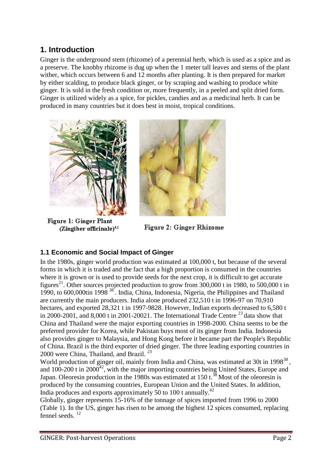# **1. Introduction**

Ginger is the underground stem (rhizome) of a perennial herb, which is used as a spice and as a preserve. The knobby rhizome is dug up when the 1 meter tall leaves and stems of the plant wither, which occurs between 6 and 12 months after planting. It is then prepared for market by either scalding, to produce black ginger, or by scraping and washing to produce white ginger. It is sold in the fresh condition or, more frequently, in a peeled and split dried form. Ginger is utilized widely as a spice, for pickles, candies and as a medicinal herb. It can be produced in many countries but it does best in moist, tropical conditions.



**Figure 1: Ginger Plant** (Zingiber officinale)<sup>45</sup>



**Figure 2: Ginger Rhizome** 

# <span id="page-2-0"></span>**1.1 Economic and Social Impact of Ginger**

In the 1980s, ginger world production was estimated at 100,000 t, but because of the several forms in which it is traded and the fact that a high proportion is consumed in the countries where it is grown or is used to provide seeds for the next crop, it is difficult to get accurate figures<sup>21</sup>. Other sources projected production to grow from  $300,000$  t in 1980, to 500,000 t in 1990, to 600,000tin 1998 <sup>38</sup>. India, China, Indonesia, Nigeria, the Philippines and Thailand are currently the main producers. India alone produced 232,510 t in 1996-97 on 70,910 hectares, and exported 28,321 t in 1997-9828. However, Indian exports decreased to 6,580 t in 2000-2001, and 8,000 t in 2001-20021. The International Trade Centre  $^{23}$  data show that China and Thailand were the major exporting countries in 1998-2000. China seems to be the preferred provider for Korea, while Pakistan buys most of its ginger from India. Indonesia also provides ginger to Malaysia, and Hong Kong before it became part the People's Republic of China. Brazil is the third exporter of dried ginger. The three leading exporting countries in 2000 were China, Thailand, and Brazil.<sup>23</sup>

World production of ginger oil, mainly from India and China, was estimated at 30t in  $1998^{38}$ , and  $100-200$  t in  $2000<sup>42</sup>$ , with the major importing countries being United States, Europe and Japan. Oleoresin production in the  $1980s$  was estimated at  $150 t.^{38}$  Most of the oleoresin is produced by the consuming countries, European Union and the United States. In addition, India produces and exports approximately 50 to 100 t annually.<sup>42</sup>

Globally, ginger represents 15-16% of the tonnage of spices imported from 1996 to 2000 (Table 1). In the US, ginger has risen to be among the highest 12 spices consumed, replacing fennel seeds. <sup>12</sup>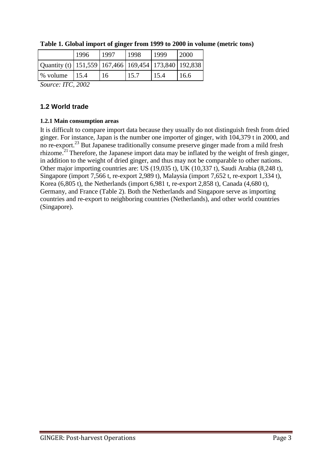|                                                                | 1996            | 1997 | 1998 | 1999 | 2000 |
|----------------------------------------------------------------|-----------------|------|------|------|------|
| Quantity (t)   151,559   167,466   169,454   173,840   192,838 |                 |      |      |      |      |
| % volume                                                       | 15.4            | 16   | 15.7 | 15.4 | 16.6 |
| $\sim$                                                         | T T T T A A A A |      |      |      |      |

**Table 1. Global import of ginger from 1999 to 2000 in volume (metric tons)**

*Source: ITC, 2002*

## <span id="page-3-0"></span>**1.2 World trade**

#### **1.2.1 Main consumption areas**

It is difficult to compare import data because they usually do not distinguish fresh from dried ginger. For instance, Japan is the number one importer of ginger, with 104,379 t in 2000, and no re-export.<sup>23</sup> But Japanese traditionally consume preserve ginger made from a mild fresh rhizome.<sup>21</sup> Therefore, the Japanese import data may be inflated by the weight of fresh ginger, in addition to the weight of dried ginger, and thus may not be comparable to other nations. Other major importing countries are: US (19,035 t), UK (10,337 t), Saudi Arabia (8,248 t), Singapore (import 7,566 t, re-export 2,989 t), Malaysia (import 7,652 t, re-export 1,334 t), Korea (6,805 t), the Netherlands (import 6,981 t, re-export 2,858 t), Canada (4,680 t), Germany, and France (Table 2). Both the Netherlands and Singapore serve as importing countries and re-export to neighboring countries (Netherlands), and other world countries (Singapore).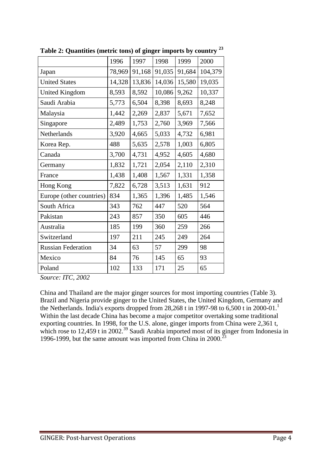|                           | 1996   | 1997   | 1998   | 1999   | 2000    |
|---------------------------|--------|--------|--------|--------|---------|
| Japan                     | 78,969 | 91,168 | 91,035 | 91,684 | 104,379 |
| <b>United States</b>      | 14,328 | 13,836 | 14,036 | 15,580 | 19,035  |
| <b>United Kingdom</b>     | 8,593  | 8,592  | 10,086 | 9,262  | 10,337  |
| Saudi Arabia              | 5,773  | 6,504  | 8,398  | 8,693  | 8,248   |
| Malaysia                  | 1,442  | 2,269  | 2,837  | 5,671  | 7,652   |
| Singapore                 | 2,489  | 1,753  | 2,760  | 3,969  | 7,566   |
| Netherlands               | 3,920  | 4,665  | 5,033  | 4,732  | 6,981   |
| Korea Rep.                | 488    | 5,635  | 2,578  | 1,003  | 6,805   |
| Canada                    | 3,700  | 4,731  | 4,952  | 4,605  | 4,680   |
| Germany                   | 1,832  | 1,721  | 2,054  | 2,110  | 2,310   |
| France                    | 1,438  | 1,408  | 1,567  | 1,331  | 1,358   |
| Hong Kong                 | 7,822  | 6,728  | 3,513  | 1,631  | 912     |
| Europe (other countries)  | 834    | 1,365  | 1,396  | 1,485  | 1,546   |
| South Africa              | 343    | 762    | 447    | 520    | 564     |
| Pakistan                  | 243    | 857    | 350    | 605    | 446     |
| Australia                 | 185    | 199    | 360    | 259    | 266     |
| Switzerland               | 197    | 211    | 245    | 249    | 264     |
| <b>Russian Federation</b> | 34     | 63     | 57     | 299    | 98      |
| Mexico                    | 84     | 76     | 145    | 65     | 93      |
| Poland                    | 102    | 133    | 171    | 25     | 65      |
|                           |        |        |        |        |         |

**Table 2: Quantities (metric tons) of ginger imports by country <sup>23</sup>**

*Source: ITC, 2002*

China and Thailand are the major ginger sources for most importing countries (Table 3). Brazil and Nigeria provide ginger to the United States, the United Kingdom, Germany and the Netherlands. India's exports dropped from  $28,268$  t in 1997-98 to 6,500 t in 2000-01.<sup>1</sup> Within the last decade China has become a major competitor overtaking some traditional exporting countries. In 1998, for the U.S. alone, ginger imports from China were 2,361 t, which rose to 12,459 t in 2002.<sup>39</sup> Saudi Arabia imported most of its ginger from Indonesia in 1996-1999, but the same amount was imported from China in 2000.<sup>23</sup>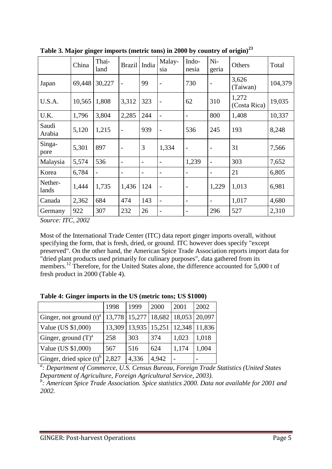|                  | China  | Thai-<br>land | <b>Brazil</b>                | India             | Malay-<br>sia            | Indo-<br>nesia               | Ni-<br>geria             | Others                | Total   |
|------------------|--------|---------------|------------------------------|-------------------|--------------------------|------------------------------|--------------------------|-----------------------|---------|
| Japan            | 69,448 | 30,227        | $\overline{\phantom{a}}$     | 99                |                          | 730                          | $\overline{\phantom{a}}$ | 3,626<br>(Taiwan)     | 104,379 |
| U.S.A.           | 10,565 | 1,808         | 3,312                        | 323               | $\qquad \qquad -$        | 62                           | 310                      | 1,272<br>(Costa Rica) | 19,035  |
| U.K.             | 1,796  | 3,804         | 2,285                        | 244               |                          | $\overline{\phantom{0}}$     | 800                      | 1,408                 | 10,337  |
| Saudi<br>Arabia  | 5,120  | 1,215         | $\overline{\phantom{0}}$     | 939               |                          | 536                          | 245                      | 193                   | 8,248   |
| Singa-<br>pore   | 5,301  | 897           | $\qquad \qquad \blacksquare$ | 3                 | 1,334                    | $\qquad \qquad -$            | $\overline{\phantom{a}}$ | 31                    | 7,566   |
| Malaysia         | 5,574  | 536           | $\overline{\phantom{a}}$     | $\overline{a}$    | $\qquad \qquad$          | 1,239                        | $\overline{\phantom{a}}$ | 303                   | 7,652   |
| Korea            | 6,784  | -             | $\overline{\phantom{a}}$     | $\qquad \qquad -$ | $\overline{a}$           | $\overline{\phantom{a}}$     | $\overline{\phantom{a}}$ | 21                    | 6,805   |
| Nether-<br>lands | 1,444  | 1,735         | 1,436                        | 124               |                          | $\overline{\phantom{a}}$     | 1,229                    | 1,013                 | 6,981   |
| Canada           | 2,362  | 684           | 474                          | 143               | $\overline{\phantom{0}}$ | $\overline{\phantom{a}}$     | $\overline{\phantom{a}}$ | 1,017                 | 4,680   |
| Germany          | 922    | 307           | 232                          | 26                |                          | $\qquad \qquad \blacksquare$ | 296                      | 527                   | 2,310   |

**Table 3. Major ginger imports (metric tons) in 2000 by country of origin)<sup>23</sup>**

*Source: ITC, 2002*

Most of the International Trade Center (ITC) data report ginger imports overall, without specifying the form, that is fresh, dried, or ground. ITC however does specify "except preserved". On the other hand, the American Spice Trade Association reports import data for "dried plant products used primarily for culinary purposes", data gathered from its members.<sup>12</sup> Therefore, for the United States alone, the difference accounted for 5,000 t of fresh product in 2000 (Table 4).

|  |  |  | Table 4: Ginger imports in the US (metric tons; US \$1000) |  |
|--|--|--|------------------------------------------------------------|--|
|--|--|--|------------------------------------------------------------|--|

|                                        | 1998   | 1999          | 2000   | 2001   | 2002   |
|----------------------------------------|--------|---------------|--------|--------|--------|
| Ginger, not ground $(t)^a$             |        | 13,778 15,277 | 18,682 | 18,053 | 20.097 |
| Value (US \$1,000)                     | 13,309 | 13,935        | 15,251 | 12,348 | 11,836 |
| Ginger, ground $(T)^a$                 | 258    | 303           | 374    | 1,023  | 1,018  |
| Value (US \$1,000)                     | 567    | 516           | 624    | 1,174  | 1,004  |
| Ginger, dried spice $(t)$ <sup>b</sup> | 2,827  | 4,336         | 4,942  |        |        |

<sup>a</sup>: Department of Commerce, U.S. Census Bureau, Foreign Trade Statistics (United States *Department of Agriculture, Foreign Agricultural Service, 2003).*

*b : American Spice Trade Association. Spice statistics 2000. Data not available for 2001 and 2002.*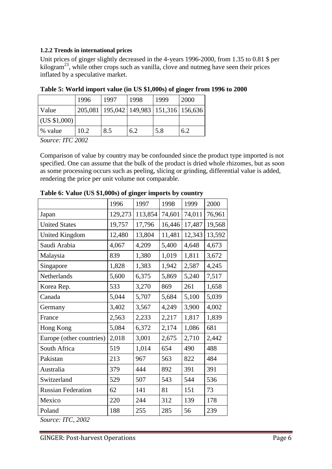#### **1.2.2 Trends in international prices**

Unit prices of ginger slightly decreased in the 4-years 1996-2000, from 1.35 to 0.81 \$ per  $kilogram<sup>23</sup>$ , while other crops such as vanilla, clove and nutmeg have seen their prices inflated by a speculative market.

|                      | 1996 | 1997                                            | 1998 | 1999 | <b>2000</b> |
|----------------------|------|-------------------------------------------------|------|------|-------------|
| Value                |      | 205,081   195,042   149,983   151,316   156,636 |      |      |             |
| $\vert$ (US \$1,000) |      |                                                 |      |      |             |
| % value              | 10.2 | 8.5                                             | 6.2  | 5.8  | 6.2         |

**Table 5: World import value (in US \$1,000s) of ginger from 1996 to 2000**

*Source: ITC 2002*

Comparison of value by country may be confounded since the product type imported is not specified. One can assume that the bulk of the product is dried whole rhizomes, but as soon as some processing occurs such as peeling, slicing or grinding, differential value is added, rendering the price per unit volume not comparable.

|         |         |        |        | 2000   |
|---------|---------|--------|--------|--------|
| 129,273 | 113,854 | 74,601 | 74,011 | 76,961 |
| 19,757  | 17,796  | 16,446 | 17,487 | 19,568 |
| 12,480  | 13,804  | 11,481 | 12,343 | 13,592 |
| 4,067   | 4,209   | 5,400  | 4,648  | 4,673  |
| 839     | 1,380   | 1,019  | 1,811  | 3,672  |
| 1,828   | 1,383   | 1,942  | 2,587  | 4,245  |
| 5,600   | 6,375   | 5,869  | 5,240  | 7,517  |
| 533     | 3,270   | 869    | 261    | 1,658  |
| 5,044   | 5,707   | 5,684  | 5,100  | 5,039  |
| 3,402   | 3,567   | 4,249  | 3,900  | 4,002  |
| 2,563   | 2,233   | 2,217  | 1,817  | 1,839  |
| 5,084   | 6,372   | 2,174  | 1,086  | 681    |
| 2,018   | 3,001   | 2,675  | 2,710  | 2,442  |
| 519     | 1,014   | 654    | 490    | 488    |
| 213     | 967     | 563    | 822    | 484    |
| 379     | 444     | 892    | 391    | 391    |
| 529     | 507     | 543    | 544    | 536    |
| 62      | 141     | 81     | 151    | 73     |
| 220     | 244     | 312    | 139    | 178    |
| 188     | 255     | 285    | 56     | 239    |
|         |         |        |        |        |

**Table 6: Value (US \$1,000s) of ginger imports by country**

*Source: ITC, 2002*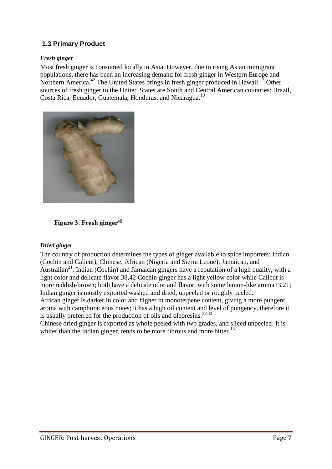## <span id="page-7-0"></span>**1.3 Primary Product**

#### *Fresh ginger*

Most fresh ginger is consumed locally in Asia. However, due to rising Asian immigrant populations, there has been an increasing demand for fresh ginger in Western Europe and Northern America.<sup>42</sup> The United States brings in fresh ginger produced in Hawaii.<sup>13</sup> Other sources of fresh ginger to the United States are South and Central American countries: Brazil, Costa Rica, Ecuador, Guatemala, Honduras, and Nicaragua.<sup>13</sup>



Figure 3. Fresh ginger<sup>48</sup>

#### *Dried ginger*

The country of production determines the types of ginger available to spice importers: Indian (Cochin and Calicut), Chinese, African (Nigeria and Sierra Leone), Jamaican, and Australian<sup>21</sup>. Indian (Cochin) and Jamaican gingers have a reputation of a high quality, with a light color and delicate flavor.38,42 Cochin ginger has a light yellow color while Calicut is more reddish-brown; both have a delicate odor and flavor, with some lemon-like aroma13,21; Indian ginger is mostly exported washed and dried, unpeeled or roughly peeled.

African ginger is darker in color and higher in monoterpene content, giving a more pungent aroma with camphoraceous notes; it has a high oil content and level of pungency, therefore it is usually preferred for the production of oils and oleoresins.<sup>38,42</sup>

Chinese dried ginger is exported as whole peeled with two grades, and sliced unpeeled. It is whiter than the Indian ginger, tends to be more fibrous and more bitter.<sup>13</sup>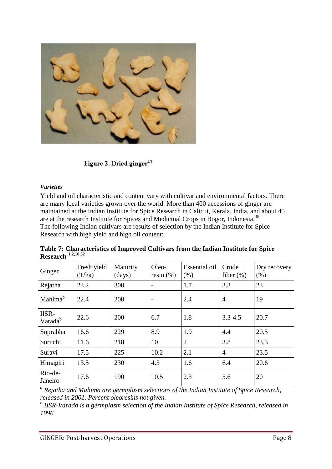

Figure 2. Dried ginger<sup>47</sup>

#### *Varieties*

Yield and oil characteristic and content vary with cultivar and environmental factors. There are many local varieties grown over the world. More than 400 accessions of ginger are maintained at the Indian Institute for Spice Research in Calicut, Kerala, India, and about 45 are at the research Institute for Spices and Medicinal Crops in Bogor, Indonesia.<sup>38</sup> The following Indian cultivars are results of selection by the Indian Institute for Spice Research with high yield and high oil content:

| Ginger                       | Fresh yield<br>(T/ha) | Maturity<br>$\frac{days}{9}$ | Oleo-<br>resin $(\% )$   | <b>Essential oil</b><br>(% ) | Crude<br>fiber $(\%)$ | Dry recovery<br>(% ) |
|------------------------------|-----------------------|------------------------------|--------------------------|------------------------------|-----------------------|----------------------|
| Rejatha <sup>a</sup>         | 23.2                  | 300                          | $\overline{\phantom{a}}$ | 1.7                          | 3.3                   | 23                   |
| Mahima <sup>b</sup>          | 22.4                  | 200                          | $\overline{\phantom{0}}$ | 2.4                          | $\overline{4}$        | 19                   |
| IISR-<br>Varada <sup>b</sup> | 22.6                  | 200                          | 6.7                      | 1.8                          | $3.3 - 4.5$           | 20.7                 |
| Suprabha                     | 16.6                  | 229                          | 8.9                      | 1.9                          | 4.4                   | 20.5                 |
| Suruchi                      | 11.6                  | 218                          | 10                       | $\overline{2}$               | 3.8                   | 23.5                 |
| Suravi                       | 17.5                  | 225                          | 10.2                     | 2.1                          | $\overline{4}$        | 23.5                 |
| Himagiri                     | 13.5                  | 230                          | 4.3                      | 1.6                          | 6.4                   | 20.6                 |
| Rio-de-<br>Janeiro           | 17.6                  | 190                          | 10.5                     | 2.3                          | 5.6                   | 20                   |

**Table 7: Characteristics of Improved Cultivars from the Indian Institute for Spice Research 1,2,10,32**

<sup>a</sup> Rejatha and Mahima are germplasm selections of the Indian Institute of Spice Research, *released in 2001. Percent oleoresins not given.*

*b IISR-Varada is a germplasm selection of the Indian Institute of Spice Research, released in 1996*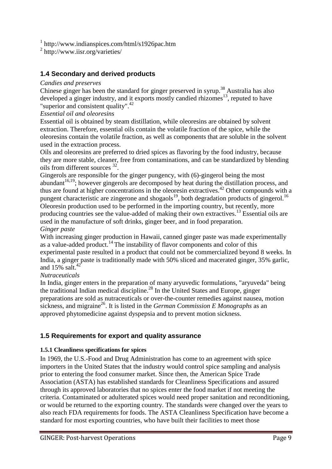1 http://www.indianspices.com/html/s1926pac.htm

2 http://www.iisr.org/varieties/

## <span id="page-9-0"></span>**1.4 Secondary and derived products**

#### *Candies and preserves*

Chinese ginger has been the standard for ginger preserved in syrup.<sup>38</sup> Australia has also developed a ginger industry, and it exports mostly candied rhizomes<sup>13</sup>, reputed to have "superior and consistent quality". $42$ 

#### *Essential oil and oleoresins*

Essential oil is obtained by steam distillation, while oleoresins are obtained by solvent extraction. Therefore, essential oils contain the volatile fraction of the spice, while the oleoresins contain the volatile fraction, as well as components that are soluble in the solvent used in the extraction process.

Oils and oleoresins are preferred to dried spices as flavoring by the food industry, because they are more stable, cleaner, free from contaminations, and can be standardized by blending oils from different sources <sup>32</sup>.

Gingerols are responsible for the ginger pungency, with (6)-gingerol being the most abundant<sup>16,19</sup>; however gingerols are decomposed by heat during the distillation process, and thus are found at higher concentrations in the oleoresin extractives.<sup>42</sup> Other compounds with a pungent characteristic are zingerone and shogaols<sup>19</sup>, both degradation products of gingerol.<sup>16</sup> Oleoresin production used to be performed in the importing country, but recently, more producing countries see the value-added of making their own extractives.<sup>13</sup> Essential oils are used in the manufacture of soft drinks, ginger beer, and in food preparation. *Ginger paste*

#### With increasing ginger production in Hawaii, canned ginger paste was made experimentally as a value-added product.<sup>14</sup> The instability of flavor components and color of this experimental paste resulted in a product that could not be commercialized beyond 8 weeks. In India, a ginger paste is traditionally made with 50% sliced and macerated ginger, 35% garlic, and  $15\%$  salt.<sup>42</sup>

#### *Nutraceuticals*

In India, ginger enters in the preparation of many aryuvedic formulations, "aryuveda" being the traditional Indian medical discipline.<sup>28</sup> In the United States and Europe, ginger preparations are sold as nutraceuticals or over-the-counter remedies against nausea, motion sickness, and migraine<sup>26</sup>. It is listed in the *German Commission E Monographs* as an approved phytomedicine against dyspepsia and to prevent motion sickness.

#### <span id="page-9-1"></span>**1.5 Requirements for export and quality assurance**

#### **1.5.1 Cleanliness specifications for spices**

In 1969, the U.S.-Food and Drug Administration has come to an agreement with spice importers in the United States that the industry would control spice sampling and analysis prior to entering the food consumer market. Since then, the American Spice Trade Association (ASTA) has established standards for Cleanliness Specifications and assured through its approved laboratories that no spices enter the food market if not meeting the criteria. Contaminated or adulterated spices would need proper sanitation and reconditioning, or would be returned to the exporting country. The standards were changed over the years to also reach FDA requirements for foods. The ASTA Cleanliness Specification have become a standard for most exporting countries, who have built their facilities to meet those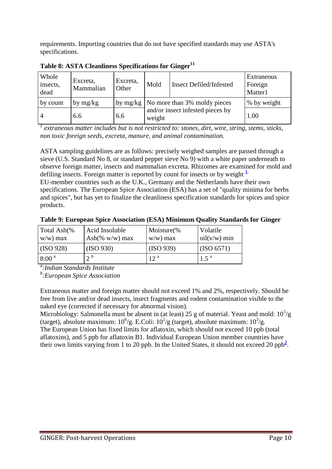requirements. Importing countries that do not have specified standards may use ASTA's specifications.

| Whole<br>insects,<br>dead | Excreta,<br>Mammalian | Excreta,<br>Other | Mold                                       | <b>Insect Defiled/Infested</b>            | Extraneous<br>Foreign<br>Matter1 |
|---------------------------|-----------------------|-------------------|--------------------------------------------|-------------------------------------------|----------------------------------|
| by count                  | by $mg/kg$            |                   |                                            | by $mg/kg$   No more than 3% moldy pieces | % by weight                      |
| $\overline{4}$            | 6.6                   | 6.6               | and/or insect infested pieces by<br>weight |                                           | 1.00                             |

**Table 8: ASTA Cleanliness Specifications for Ginger<sup>11</sup>**

*1 extraneous matter includes but is not restricted to: stones, dirt, wire, string, stems, sticks, non toxic foreign seeds, excreta, manure, and animal contamination.*

ASTA sampling guidelines are as follows: precisely weighed samples are passed through a sieve (U.S. Standard No 8, or standard pepper sieve No 9) with a white paper underneath to observe foreign matter, insects and mammalian excreta. Rhizomes are examined for mold and defiling insects. Foreign matter is reported by count for insects or by weight **[1](http://www.fao.org/inpho/content/compend/text/ch27/ch27.htm#note1)**. EU-member countries such as the U.K., Germany and the Netherlands have their own specifications. The European Spice Association (ESA) has a set of "quality minima for herbs and spices", but has yet to finalize the cleanliness specification standards for spices and spice products.

**Table 9: European Spice Association (ESA) Minimum Quality Standards for Ginger**

| Total Ash(%<br>$w/w$ ) max | Acid Insoluble<br>Ash $(\% w/w)$ max | Moisture(%<br>$w/w$ ) max | Volatile<br>oil(v/w) min |
|----------------------------|--------------------------------------|---------------------------|--------------------------|
| (ISO 928)                  | (ISO 930)                            | (ISO 939)                 | (GSO 6571)               |
| 8:00 <sup>a</sup>          | $\gamma$ b                           | 12 <sup>a</sup>           | $1.5^{\text{a}}$         |

*a :Indian Standards Institute*

*b :European Spice Association*

Extraneous matter and foreign matter should not exceed 1% and 2%, respectively. Should be free from live and/or dead insects, insect fragments and rodent contamination visible to the naked eye (corrected if necessary for abnormal vision).

Microbiology: Salmonella must be absent in (at least) 25 g of material. Yeast and mold:  $10^5/g$ (target), absolute maximum:  $10^6$ /g. E.Coli:  $10^2$ /g (target), absolute maximum:  $10^3$ /g. The European Union has fixed limits for aflatoxin, which should not exceed 10 ppb (total aflatoxins), and 5 ppb for aflatoxin B1. Individual European Union member countries have their own limits varying from 1 to 20 pp[b](http://www.fao.org/inpho/content/compend/text/ch27/ch27.htm#note2). In the United States, it should not exceed 20 ppb<sup>2</sup>.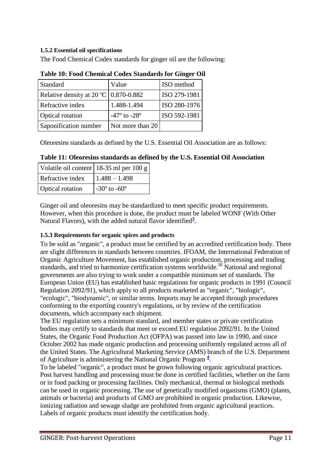#### **1.5.2 Essential oil specifications**

The Food Chemical Codex standards for ginger oil are the following:

| Standard                                         | Value              | ISO method   |
|--------------------------------------------------|--------------------|--------------|
| Relative density at $20 \degree C$   0.870-0.882 |                    | ISO 279-1981 |
| Refractive index                                 | 1.488-1.494        | ISO 280-1976 |
| <b>Optical rotation</b>                          | $-47$ ° to $-28$ ° | ISO 592-1981 |
| Saponification number                            | Not more than 20   |              |

**Table 10: Food Chemical Codex Standards for Ginger Oil**

Oleoresins standards as defined by the U.S. Essential Oil Association are as follows:

#### **Table 11: Oleoresins standards as defined by the U.S. Essential Oil Association**

|                  | Volatile oil content   18-35 ml per 100 g |
|------------------|-------------------------------------------|
| Refractive index | $1.488 - 1.498$                           |
| Optical rotation | $-30^{\circ}$ to $-60^{\circ}$            |

Ginger oil and oleoresins may be standardized to meet specific product requirements. However, when this procedure is done, the product must be labeled WONF (With Other Natural Flavors), with the a[d](http://www.fao.org/inpho/content/compend/text/ch27/ch27.htm#note3)ded natural flavor identified<sup>3</sup>.

#### **1.5.3 Requirements for organic spices and products**

To be sold as "organic", a product must be certified by an accredited certification body. There are slight differences in standards between countries. IFOAM, the International Federation of Organic Agriculture Movement, has established organic production, processing and trading standards, and tried to harmonize certification systems worldwide.<sup>36</sup> National and regional governments are also trying to work under a compatible minimum set of standards. The European Union (EU) has established basic regulations for organic products in 1991 (Council Regulation 2092/91), which apply to all products marketed as "organic", "biologic", "ecologic", "biodynamic", or similar terms. Imports may be accepted through procedures conforming to the exporting country's regulations, or by review of the certification documents, which accompany each shipment.

The EU regulation sets a minimum standard, and member states or private certification bodies may certify to standards that meet or exceed EU regulation 2092/91. In the United States, the Organic Food Production Act (OFPA) was passed into law in 1990, and since October 2002 has made organic production and processing uniformly regulated across all of the United States. The Agricultural Marketing Service (AMS) branch of the U.S. Department of Agriculture is administering the National Organic Program **<sup>4</sup>** [.](http://www.fao.org/inpho/content/compend/text/ch27/ch27.htm#note4)

To be labeled "organic", a product must be grown following organic agricultural practices. Post harvest handling and processing must be done in certified facilities, whether on the farm or in food packing or processing facilities. Only mechanical, thermal or biological methods can be used in organic processing. The use of genetically modified organisms (GMO) (plants, animals or bacteria) and products of GMO are prohibited in organic production. Likewise, ionizing radiation and sewage sludge are prohibited from organic agricultural practices. Labels of organic products must identify the certification body.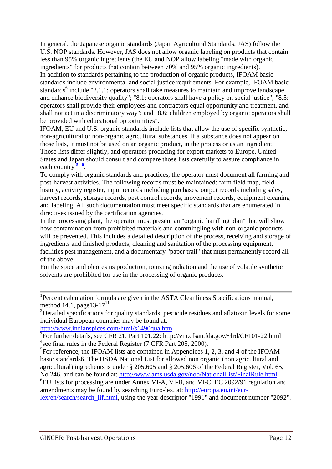In general, the Japanese organic standards (Japan Agricultural Standards, JAS) follow the U.S. NOP standards. However, JAS does not allow organic labeling on products that contain less than 95% organic ingredients (the EU and NOP allow labeling "made with organic ingredients" for products that contain between 70% and 95% organic ingredients). In addition to standards pertaining to the production of organic products, IFOAM basic standards include environmental and social justice requirements. For example, IFOAM basic standards<sup>6</sup> include "2.1.1: operators shall take measures to maintain and improve landscape and enhance biodiversity quality"; "8.1: operators shall have a policy on social justice"; "8.5: operators shall provide their employees and contractors equal opportunity and treatment, and shall not act in a discriminatory way"; and "8.6: children employed by organic operators shall be provided with educational opportunities".

IFOAM, EU and U.S. organic standards include lists that allow the use of specific synthetic, non-agricultural or non-organic agricultural substances. If a substance does not appear on those lists, it must not be used on an organic product, in the process or as an ingredient. Those lists differ slightly, and operators producing for export markets to Europe, United States and Japan should consult and compare those lists carefully to assure compliance in each country**<sup>5</sup> [6](http://www.fao.org/inpho/content/compend/text/ch27/ch27.htm#note6)** .

To comply with organic standards and practices, the operator must document all farming and post-harvest activities. The following records must be maintained: farm field map, field history, activity register, input records including purchases, output records including sales, harvest records, storage records, pest control records, movement records, equipment cleaning and labeling. All such documentation must meet specific standards that are enumerated in directives issued by the certification agencies.

In the processing plant, the operator must present an "organic handling plan" that will show how contamination from prohibited materials and commingling with non-organic products will be prevented. This includes a detailed description of the process, receiving and storage of ingredients and finished products, cleaning and sanitation of the processing equipment, facilities pest management, and a documentary "paper trail" that must permanently record all of the above.

For the spice and oleoresins production, ionizing radiation and the use of volatile synthetic solvents are prohibited for use in the processing of organic products.

<sup>1</sup>Percent calculation formula are given in the ASTA Cleanliness Specifications manual, method 14.1, page 13-17 $^{11}$ 

<sup>2</sup>Detailed specifications for quality standards, pesticide residues and aflatoxin levels for some individual European countries may be found at:

<http://www.indianspices.com/html/s1490qua.htm>

6 EU lists for processing are under Annex VI-A, VI-B, and VI-C. EC 2092/91 regulation and amendments may be found by searching Euro-lex, at: [http://europa.eu.int/eur-](http://europa.eu.int/eur-lex/en/search/search_lif.html)

lex/en/search/search lif.html, using the year descriptor "1991" and document number "2092".

<sup>&</sup>lt;sup>3</sup>For further details, see CFR 21, Part 101.22: http://vm.cfsan.fda.gov/~lrd/CF101-22.html <sup>4</sup>see final rules in the Federal Register (7 CFR Part 205, 2000).

<sup>&</sup>lt;sup>5</sup>For reference, the IFOAM lists are contained in Appendices 1, 2, 3, and 4 of the IFOAM basic standards6. The USDA National List for allowed non organic (non agricultural and agricultural) ingredients is under § 205.605 and § 205.606 of the Federal Register, Vol. 65, No 246, and can be found at:<http://www.ams.usda.gov/nop/NationalList/FinalRule.html>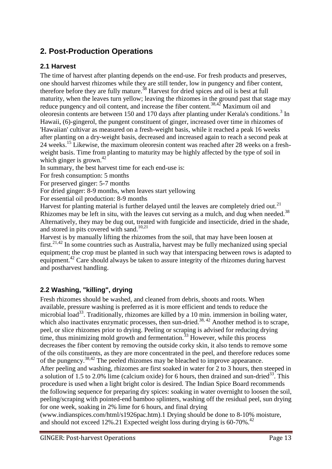# <span id="page-13-0"></span>**2. Post-Production Operations**

## <span id="page-13-1"></span>**2.1 Harvest**

The time of harvest after planting depends on the end-use. For fresh products and preserves, one should harvest rhizomes while they are still tender, low in pungency and fiber content, therefore before they are fully mature.<sup>38</sup> Harvest for dried spices and oil is best at full maturity, when the leaves turn yellow; leaving the rhizomes in the ground past that stage may reduce pungency and oil content, and increase the fiber content.<sup>38,42</sup> Maximum oil and oleoresin contents are between 150 and 170 days after planting under Kerala's conditions.<sup>3</sup> In Hawaii, (6)-gingerol, the pungent constituent of ginger, increased over time in rhizomes of 'Hawaiian' cultivar as measured on a fresh-weight basis, while it reached a peak 16 weeks after planting on a dry-weight basis, decreased and increased again to reach a second peak at 24 weeks.<sup>15</sup> Likewise, the maximum oleoresin content was reached after 28 weeks on a freshweight basis. Time from planting to maturity may be highly affected by the type of soil in which ginger is grown. $42$ 

In summary, the best harvest time for each end-use is:

For fresh consumption: 5 months

For preserved ginger: 5-7 months

For dried ginger: 8-9 months, when leaves start yellowing

For essential oil production: 8-9 months

Harvest for planting material is further delayed until the leaves are completely dried out.<sup>21</sup> Rhizomes may be left in situ, with the leaves cut serving as a mulch, and dug when needed. $38$ Alternatively, they may be dug out, treated with fungicide and insecticide, dried in the shade, and stored in pits covered with sand.<sup>10,21</sup>

Harvest is by manually lifting the rhizomes from the soil, that may have been loosen at first.<sup>21,42</sup> In some countries such as Australia, harvest may be fully mechanized using special equipment; the crop must be planted in such way that interspacing between rows is adapted to equipment.<sup>42</sup> Care should always be taken to assure integrity of the rhizomes during harvest and postharvest handling.

## <span id="page-13-2"></span>**2.2 Washing, "killing", drying**

Fresh rhizomes should be washed, and cleaned from debris, shoots and roots. When available, pressure washing is preferred as it is more efficient and tends to reduce the microbial load<sup>33</sup>. Traditionally, rhizomes are killed by a 10 min. immersion in boiling water, which also inactivates enzymatic processes, then sun-dried.<sup>38, 42</sup> Another method is to scrape, peel, or slice rhizomes prior to drying. Peeling or scraping is advised for reducing drying time, thus minimizing mold growth and fermentation.<sup>33</sup> However, while this process decreases the fiber content by removing the outside corky skin, it also tends to remove some of the oils constituents, as they are more concentrated in the peel, and therefore reduces some of the pungency.38,42 The peeled rhizomes may be bleached to improve appearance. After peeling and washing, rhizomes are first soaked in water for 2 to 3 hours, then steeped in a solution of 1.5 to 2.0% lime (calcium oxide) for 6 hours, then drained and sun-dried<sup>33</sup>. This procedure is used when a light bright color is desired. The Indian Spice Board recommends the following sequence for preparing dry spices: soaking in water overnight to loosen the soil, peeling/scraping with pointed-end bamboo splinters, washing off the residual peel, sun drying for one week, soaking in 2% lime for 6 hours, and final drying

(www.indianspices.com/html/s1926pac.htm).1 Drying should be done to 8-10% moisture, and should not exceed 12%.21 Expected weight loss during drying is  $60-70\%$ <sup>42</sup>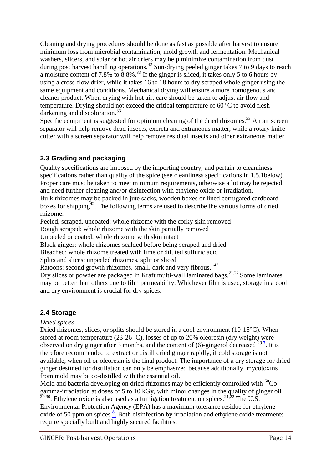Cleaning and drying procedures should be done as fast as possible after harvest to ensure minimum loss from microbial contamination, mold growth and fermentation. Mechanical washers, slicers, and solar or hot air driers may help minimize contamination from dust during post harvest handling operations.<sup>42</sup> Sun-drying peeled ginger takes 7 to 9 days to reach a moisture content of 7.8% to 8.8%.<sup>33</sup> If the ginger is sliced, it takes only 5 to 6 hours by using a cross-flow drier, while it takes 16 to 18 hours to dry scraped whole ginger using the same equipment and conditions. Mechanical drying will ensure a more homogenous and cleaner product. When drying with hot air, care should be taken to adjust air flow and temperature. Drying should not exceed the critical temperature of 60 ºC to avoid flesh darkening and discoloration.<sup>33</sup>

Specific equipment is suggested for optimum cleaning of the dried rhizomes.<sup>33</sup> An air screen separator will help remove dead insects, excreta and extraneous matter, while a rotary knife cutter with a screen separator will help remove residual insects and other extraneous matter.

## <span id="page-14-0"></span>**2.3 Grading and packaging**

Quality specifications are imposed by the importing country, and pertain to cleanliness specifications rather than quality of the spice (see cleanliness specifications in 1.5.1below). Proper care must be taken to meet minimum requirements, otherwise a lot may be rejected and need further cleaning and/or disinfection with ethylene oxide or irradiation. Bulk rhizomes may be packed in jute sacks, wooden boxes or lined corrugated cardboard boxes for shipping<sup> $42$ </sup>. The following terms are used to describe the various forms of dried rhizome.

Peeled, scraped, uncoated: whole rhizome with the corky skin removed

Rough scraped: whole rhizome with the skin partially removed

Unpeeled or coated: whole rhizome with skin intact

Black ginger: whole rhizomes scalded before being scraped and dried

Bleached: whole rhizome treated with lime or diluted sulfuric acid

Splits and slices: unpeeled rhizomes, split or sliced

Ratoons: second growth rhizomes, small, dark and very fibrous."<sup>42</sup>

Dry slices or powder are packaged in Kraft multi-wall laminated bags.<sup>21,22</sup> Some laminates may be better than others due to film permeability. Whichever film is used, storage in a cool and dry environment is crucial for dry spices.

# <span id="page-14-1"></span>**2.4 Storage**

#### *Dried spices*

Dried rhizomes, slices, or splits should be stored in a cool environment  $(10-15^{\circ}C)$ . When stored at room temperature (23-26 ºC), losses of up to 20% oleoresin (dry weight) were observed on dry ginger after 3 months, and the content of  $(6)$ -gingerol decreased  $^{29}$ <sup>[7](http://www.fao.org/inpho/content/compend/text/ch27/ch27_02.htm#note7)</sup>. It is therefore recommended to extract or distill dried ginger rapidly, if cold storage is not available, when oil or oleoresin is the final product. The importance of a dry storage for dried ginger destined for distillation can only be emphasized because additionally, mycotoxins from mold may be co-distilled with the essential oil.

Mold and bacteria developing on dried rhizomes may be efficiently controlled with  ${}^{60}Co$ gamma-irradiation at doses of 5 to 10 kGy, with minor changes in the quality of ginger oil  $^{20,30}$ . Ethylene oxide is also used as a fumigation treatment on spices.<sup>21,22</sup> The U.S. Environmental Protection Agency (EPA) has a maximum tolerance residue for ethylene oxide of 50 ppm on spices  $\frac{8}{1}$  Both disinfection by irradiation and ethylene oxide treatments require specially built and highly secured facilities.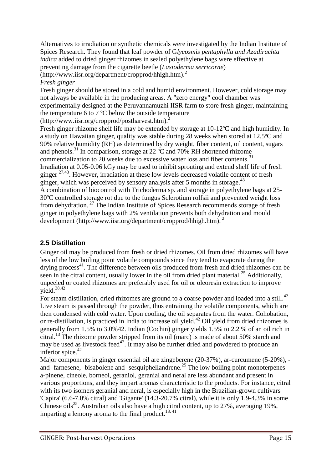Alternatives to irradiation or synthetic chemicals were investigated by the Indian Institute of Spices Research. They found that leaf powder of G*lycosmis pentaphylla and Azadirachta indica* added to dried ginger rhizomes in sealed polyethylene bags were effective at preventing damage from the cigarette beetle (*Lasioderma serricorne*)  $(\text{http://www.iisr.org/department/cropprod/hhigh.htm})$ .<sup>2</sup>

#### *Fresh ginger*

Fresh ginger should be stored in a cold and humid environment. However, cold storage may not always be available in the producing areas. A "zero energy" cool chamber was experimentally designed at the Peruvannamuzhi IISR farm to store fresh ginger, maintaining the temperature 6 to 7 ºC below the outside temperature

(http://www.iisr.org/cropprod/postharvest.htm).<sup>2</sup>

Fresh ginger rhizome shelf life may be extended by storage at 10-12ºC and high humidity. In a study on Hawaiian ginger, quality was stable during 28 weeks when stored at 12.5ºC and 90% relative humidity (RH) as determined by dry weight, fiber content, oil content, sugars and phenols.<sup>31</sup> In comparison, storage at 22  $^{\circ}$ C and 70% RH shortened rhizome commercialization to 20 weeks due to excessive water loss and fiber contents.<sup>31</sup> Irradiation at 0.05-0.06 kGy may be used to inhibit sprouting and extend shelf life of fresh ginger  $27,43$ . However, irradiation at these low levels decreased volatile content of fresh ginger, which was perceived by sensory analysis after 5 months in storage.<sup>43</sup> A combination of biocontrol with Trichoderma sp. and storage in polyethylene bags at 25- 30ºC controlled storage rot due to the fungus Sclerotium rolfsii and prevented weight loss from dehydration. <sup>27</sup> The Indian Institute of Spices Research recommends storage of fresh ginger in polyethylene bags with 2% ventilation prevents both dehydration and mould development (http://www.iisr.org/department/cropprod/hhigh.htm).<sup>2</sup>

# <span id="page-15-0"></span>**2.5 Distillation**

Ginger oil may be produced from fresh or dried rhizomes. Oil from dried rhizomes will have less of the low boiling point volatile compounds since they tend to evaporate during the drying process $41$ . The difference between oils produced from fresh and dried rhizomes can be seen in the citral content, usually lower in the oil from dried plant material.<sup>25</sup> Additionally, unpeeled or coated rhizomes are preferably used for oil or oleoresin extraction to improve vield. $38,42$ 

For steam distillation, dried rhizomes are ground to a coarse powder and loaded into a still.<sup>42</sup> Live steam is passed through the powder, thus entraining the volatile components, which are then condensed with cold water. Upon cooling, the oil separates from the water. Cohobation, or re-distillation, is practiced in India to increase oil yield.<sup>42</sup> Oil yield from dried rhizomes is generally from 1.5% to 3.0%42. Indian (Cochin) ginger yields 1.5% to 2.2 % of an oil rich in citral.<sup>13</sup> The rhizome powder stripped from its oil (marc) is made of about 50% starch and may be used as livestock feed<sup>42</sup>. It may also be further dried and powdered to produce an inferior spice.<sup>42</sup>

Major components in ginger essential oil are zingeberene (20-37%), ar-curcumene (5-20%), and -farnesene, -bisabolene and -sesquiphellandrene.<sup>25</sup> The low boiling point monoterpenes a-pinene, cineole, borneol, geraniol, geranial and neral are less abundant and present in various proportions, and they impart aromas characteristic to the products. For instance, citral with its two isomers geranial and neral, is especially high in the Brazilian-grown cultivars 'Capira' (6.6-7.0% citral) and 'Gigante' (14.3-20.7% citral), while it is only 1.9-4.3% in some Chinese oils<sup>25</sup>. Australian oils also have a high citral content, up to 27%, averaging 19%, imparting a lemony aroma to the final product.<sup>18, 41</sup>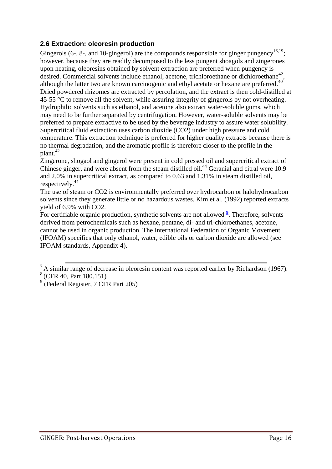#### <span id="page-16-0"></span>**2.6 Extraction: oleoresin production**

Gingerols (6-, 8-, and 10-gingerol) are the compounds responsible for ginger pungency<sup>16,19</sup>; however, because they are readily decomposed to the less pungent shoagols and zingerones upon heating, oleoresins obtained by solvent extraction are preferred when pungency is desired. Commercial solvents include ethanol, acetone, trichloroethane or dichloroethane<sup>42</sup>, although the latter two are known carcinogenic and ethyl acetate or hexane are preferred.<sup>40</sup> Dried powdered rhizomes are extracted by percolation, and the extract is then cold-distilled at 45-55 °C to remove all the solvent, while assuring integrity of gingerols by not overheating. Hydrophilic solvents such as ethanol, and acetone also extract water-soluble gums, which may need to be further separated by centrifugation. However, water-soluble solvents may be preferred to prepare extractive to be used by the beverage industry to assure water solubility. Supercritical fluid extraction uses carbon dioxide (CO2) under high pressure and cold temperature. This extraction technique is preferred for higher quality extracts because there is no thermal degradation, and the aromatic profile is therefore closer to the profile in the plant.<sup>42</sup>

Zingerone, shogaol and gingerol were present in cold pressed oil and supercritical extract of Chinese ginger, and were absent from the steam distilled oil.<sup>44</sup> Geranial and citral were 10.9 and 2.0% in supercritical extract, as compared to 0.63 and 1.31% in steam distilled oil, respectively.<sup>44</sup>

The use of steam or CO2 is environmentally preferred over hydrocarbon or halohydrocarbon solvents since they generate little or no hazardous wastes. Kim et al. (1992) reported extracts yield of 6.9% with CO2.

For certifiable organic production, synthetic solvents are not allowed <sup>2</sup>. Therefore, solvents derived from petrochemicals such as hexane, pentane, di- and tri-chloroethanes, acetone, cannot be used in organic production. The International Federation of Organic Movement (IFOAM) specifies that only ethanol, water, edible oils or carbon dioxide are allowed (see IFOAM standards, Appendix 4).

 ${}^{7}$  A similar range of decrease in oleoresin content was reported earlier by Richardson (1967).

 $8$  (CFR 40, Part 180.151)

<sup>9</sup> (Federal Register, 7 CFR Part 205)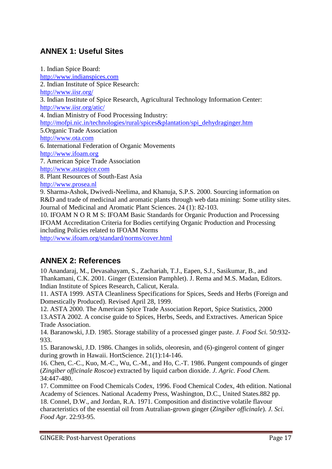# <span id="page-17-0"></span>**ANNEX 1: Useful Sites**

1. Indian Spice Board: [http://www.indianspices.com](http://www.indianspices.com/) 2. Indian Institute of Spice Research: <http://www.iisr.org/> 3. Indian Institute of Spice Research, Agricultural Technology Information Center: <http://www.iisr.org/atic/> 4. Indian Ministry of Food Processing Industry: [http://mofpi.nic.in/technologies/rural/spices&plantation/spi\\_dehydraginger.htm](http://mofpi.nic.in/technologies/rural/spices&plantation/spi_dehydraginger.htm) 5.Organic Trade Association [http://www.ota.com](http://www.ota.com/) 6. International Federation of Organic Movements [http://www.ifoam.org](http://www.ifoam.org/) 7. American Spice Trade Association [http://www.astaspice.com](http://www.astaspice.com/) 8. Plant Resources of South-East Asia [http://www.prosea.nl](http://www.prosea.nl/) 9. Sharma-Ashok, Dwivedi-Neelima, and Khanuja, S.P.S. 2000. Sourcing information on R&D and trade of medicinal and aromatic plants through web data mining: Some utility sites. Journal of Medicinal and Aromatic Plant Sciences. 24 (1): 82-103. 10. IFOAM N O R M S: IFOAM Basic Standards for Organic Production and Processing

IFOAM Accreditation Criteria for Bodies certifying Organic Production and Processing including Policies related to IFOAM Norms

<http://www.ifoam.org/standard/norms/cover.html>

# <span id="page-17-1"></span>**ANNEX 2: References**

10 Anandaraj, M., Devasahayam, S., Zachariah, T.J., Eapen, S.J., Sasikumar, B., and Thankamani, C.K. 2001. Ginger (Extension Pamphlet). J. Rema and M.S. Madan, Editors. Indian Institute of Spices Research, Calicut, Kerala.

11. ASTA 1999. ASTA Cleanliness Specifications for Spices, Seeds and Herbs (Foreign and Domestically Produced). Revised April 28, 1999.

12. ASTA 2000. The American Spice Trade Association Report, Spice Statistics, 2000 13.ASTA 2002. A concise guide to Spices, Herbs, Seeds, and Extractives. American Spice Trade Association.

14. Baranowski, J.D. 1985. Storage stability of a processed ginger paste. *J. Food Sci.* 50:932- 933.

15. Baranowski, J.D. 1986. Changes in solids, oleoresin, and (6)-gingerol content of ginger during growth in Hawaii. HortScience. 21(1):14-146.

16. Chen, C.-C., Kuo, M.-C., Wu, C.-M., and Ho, C.-T. 1986. Pungent compounds of ginger (*Zingiber officinale Roscoe*) extracted by liquid carbon dioxide. *J. Agric. Food Chem.* 34:447-480.

17. Committee on Food Chemicals Codex, 1996. Food Chemical Codex, 4th edition. National Academy of Sciences. National Academy Press, Washington, D.C., United States.882 pp.

18. Connel, D.W., and Jordan, R.A. 1971. Composition and distinctive volatile flavour characteristics of the essential oil from Autralian-grown ginger (*Zingiber officinale*). *J. Sci. Food Agr.* 22:93-95.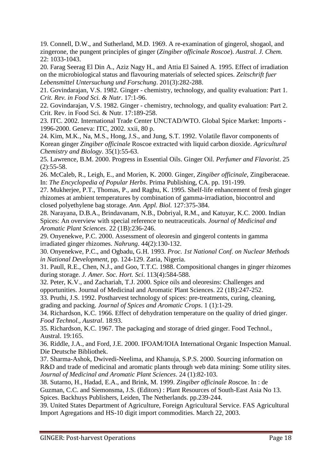19. Connell, D.W., and Sutherland, M.D. 1969. A re-examination of gingerol, shogaol, and zingerone, the pungent principles of ginger (*Zingiber officinale Roscoe*). *Austral. J. Chem.* 22: 1033-1043.

20. Farag Seerag El Din A., Aziz Nagy H., and Attia El Sained A. 1995. Effect of irradiation on the microbiological status and flavouring materials of selected spices. *Zeitschrift fuer Lebensmittel Untersuchung und Forschung*. 201(3):282-288.

21. Govindarajan, V.S. 1982. Ginger - chemistry, technology, and quality evaluation: Part 1. *Crit. Rev. in Food Sci. & Nutr*. 17:1-96.

22. Govindarajan, V.S. 1982. Ginger - chemistry, technology, and quality evaluation: Part 2. Crit. Rev. in Food Sci. & Nutr. 17:189-258.

23. ITC. 2002. International Trade Center UNCTAD/WTO. Global Spice Market: Imports - 1996-2000. Geneva: ITC, 2002. xxii, 80 p.

24. Kim, M.K., Na, M.S., Hong, J.S., and Jung, S.T. 1992. Volatile flavor components of Korean ginger *Zingiber officinale* Roscoe extracted with liquid carbon dioxide. *Agricultural Chemistry and Biology*. 35(1):55-63.

25. Lawrence, B.M. 2000. Progress in Essential Oils. Ginger Oil. *Perfumer and Flavorist*. 25 (2):55-58.

26. McCaleb, R., Leigh, E., and Morien, K. 2000. Ginger, *Zingiber officinale*, Zingiberaceae. In: *The Encyclopedia of Popular Herbs*. Prima Publishing, CA. pp. 191-199.

27. Mukherjee, P.T., Thomas, P., and Raghu, K. 1995. Shelf-life enhancement of fresh ginger rhizomes at ambient temperatures by combination of gamma-irradiation, biocontrol and closed polyethylene bag storage. *Ann. Appl. Biol.* 127:375-384.

28. Narayana, D.B.A., Brindavanam, N.B., Dobriyal, R.M., and Katuyar, K.C. 2000. Indian Spices: An overview with special reference to neutraceuticals. *Journal of Medicinal and Aromatic Plant Sciences*. 22 (1B):236-246.

29. Onyenekwe, P.C. 2000. Assessment of oleoresin and gingerol contents in gamma irradiated ginger rhizomes. *Nahrung*. 44(2):130-132.

30. Onyenekwe, P.C., and Ogbadu, G.H. 1993. *Proc. 1st National Conf. on Nuclear Methods in National Development*, pp. 124-129. Zaria, Nigeria.

31. Paull, R.E., Chen, N.J., and Goo, T.T.C. 1988. Compositional changes in ginger rhizomes during storage. *J. Amer. Soc. Hort. Sci*. 113(4):584-588.

32. Peter, K.V., and Zachariah, T.J. 2000. Spice oils and oleoresins: Challenges and opportunities. Journal of Medicinal and Aromatic Plant Sciences. 22 (1B):247-252.

33. Pruthi, J.S. 1992. Postharvest technology of spices: pre-treatments, curing, cleaning, grading and packing. *Journal of Spices and Aromatic Crops*. 1 (1):1-29.

34. Richardson, K.C. 1966. Effect of dehydration temperature on the quality of dried ginger. *Food Technol., Austral*. 18:93.

35. Richardson, K.C. 1967. The packaging and storage of dried ginger. Food Technol., Austral. 19:165.

36. Riddle, J.A., and Ford, J.E. 2000. IFOAM/IOIA International Organic Inspection Manual. Die Deutsche Bibliothek.

37. Sharma-Ashok, Dwivedi-Neelima, and Khanuja, S.P.S. 2000. Sourcing information on R&D and trade of medicinal and aromatic plants through web data mining: Some utility sites. *Journal of Medicinal and Aromatic Plant Sciences*. 24 (1):82-103.

38. Sutarno, H., Hadad, E.A., and Brink, M. 1999. *Zingiber officinale R*oscoe. In : de Guzman, C.C. and Siemonsma, J.S. (Editors) : Plant Resources of South-East Asia No 13. Spices. Backhuys Publishers, Leiden, The Netherlands. pp.239-244.

39. United States Department of Agriculture, Foreign Agricultural Service. FAS Agricultural Import Agregations and HS-10 digit import commodities. March 22, 2003[.](http://www.fas.usda.gov/ustrdscripts/USReport.exe)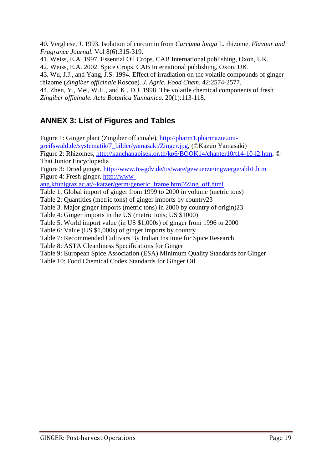40. Verghese, J. 1993. Isolation of curcumin from *Curcuma longa* L. rhizome. *Flavour and Fragrance Journal.* Vol 8(6):315-319.

41. Weiss, E.A. 1997. Essential Oil Crops. CAB International publishing, Oxon, UK.

42. Weiss, E.A. 2002. Spice Crops. CAB International publishing, Oxon, UK.

43. Wu, J.J., and Yang, J.S. 1994. Effect of irradiation on the volatile compounds of ginger rhizome (*Zingiber officinale* Roscoe). *J. Agric. Food Chem*. 42:2574-2577.

44. Zhen, Y., Mei, W.H., and K., D.J. 1998. The volatile chemical components of fresh *Zingiber officinale. Acta Botanica Yunnanica.* 20(1):113-118.

# <span id="page-19-0"></span>**ANNEX 3: List of Figures and Tables**

Figure 1: Ginger plant (Zingiber officinale), [http://pharm1.pharmazie.uni](http://pharm1.pharmazie.uni-greifswald.de/systematik/7_bilder/yamasaki/Zinger.jpg)[greifswald.de/systematik/7\\_bilder/yamasaki/Zinger.jpg,](http://pharm1.pharmazie.uni-greifswald.de/systematik/7_bilder/yamasaki/Zinger.jpg) (©Kazuo Yamasaki) Figure 2: Rhizomes, [http://kanchanapisek.or.th/kp6/BOOK14/chapter10/t14-10-l2.htm,](http://kanchanapisek.or.th/kp6/BOOK14/chapter10/t14-10-l2.htm) © Thai Junior Encyclopedia Figure 3: Dried ginger,<http://www.tis-gdv.de/tis/ware/gewuerze/ingwerge/abb1.htm> Figure 4: Fresh ginger, [http://www](http://www-ang.kfunigraz.ac.at/~katzer/germ/generic_frame.html?Zing_off.html)[ang.kfunigraz.ac.at/~katzer/germ/generic\\_frame.html?Zing\\_off.html](http://www-ang.kfunigraz.ac.at/~katzer/germ/generic_frame.html?Zing_off.html) Table 1. Global import of ginger from 1999 to 2000 in volume (metric tons) Table 2: Quantities (metric tons) of ginger imports by country23 Table 3. Major ginger imports (metric tons) in 2000 by country of origin)23 Table 4: Ginger imports in the US (metric tons; US \$1000) Table 5: World import value (in US \$1,000s) of ginger from 1996 to 2000 Table 6: Value (US \$1,000s) of ginger imports by country Table 7: Recommended Cultivars By Indian Institute for Spice Research Table 8: ASTA Cleanliness Specifications for Ginger Table 9: European Spice Association (ESA) Minimum Quality Standards for Ginger Table 10: Food Chemical Codex Standards for Ginger Oil